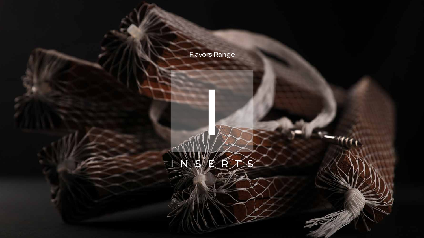I





## Flavors Range